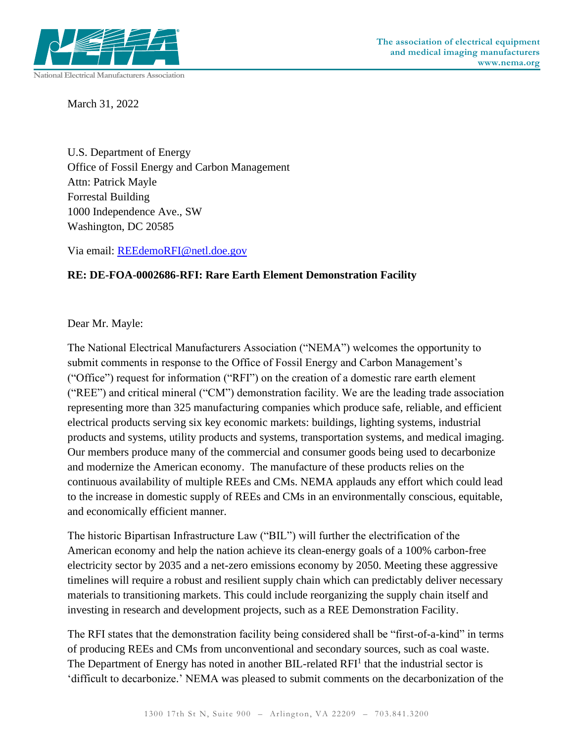

March 31, 2022

U.S. Department of Energy Office of Fossil Energy and Carbon Management Attn: Patrick Mayle Forrestal Building 1000 Independence Ave., SW Washington, DC 20585

Via email: [REEdemoRFI@netl.doe.gov](mailto:REEdemoRFI@netl.doe.gov)

## **RE: DE-FOA-0002686-RFI: Rare Earth Element Demonstration Facility**

Dear Mr. Mayle:

The National Electrical Manufacturers Association ("NEMA") welcomes the opportunity to submit comments in response to the Office of Fossil Energy and Carbon Management's ("Office") request for information ("RFI") on the creation of a domestic rare earth element ("REE") and critical mineral ("CM") demonstration facility. We are the leading trade association representing more than 325 manufacturing companies which produce safe, reliable, and efficient electrical products serving six key economic markets: buildings, lighting systems, industrial products and systems, utility products and systems, transportation systems, and medical imaging. Our members produce many of the commercial and consumer goods being used to decarbonize and modernize the American economy. The manufacture of these products relies on the continuous availability of multiple REEs and CMs. NEMA applauds any effort which could lead to the increase in domestic supply of REEs and CMs in an environmentally conscious, equitable, and economically efficient manner.

The historic Bipartisan Infrastructure Law ("BIL") will further the electrification of the American economy and help the nation achieve its clean-energy goals of a 100% carbon-free electricity sector by 2035 and a net-zero emissions economy by 2050. Meeting these aggressive timelines will require a robust and resilient supply chain which can predictably deliver necessary materials to transitioning markets. This could include reorganizing the supply chain itself and investing in research and development projects, such as a REE Demonstration Facility.

The RFI states that the demonstration facility being considered shall be "first-of-a-kind" in terms of producing REEs and CMs from unconventional and secondary sources, such as coal waste. The Department of Energy has noted in another BIL-related  $RFI<sup>1</sup>$  that the industrial sector is 'difficult to decarbonize.' NEMA was pleased to submit comments on the decarbonization of the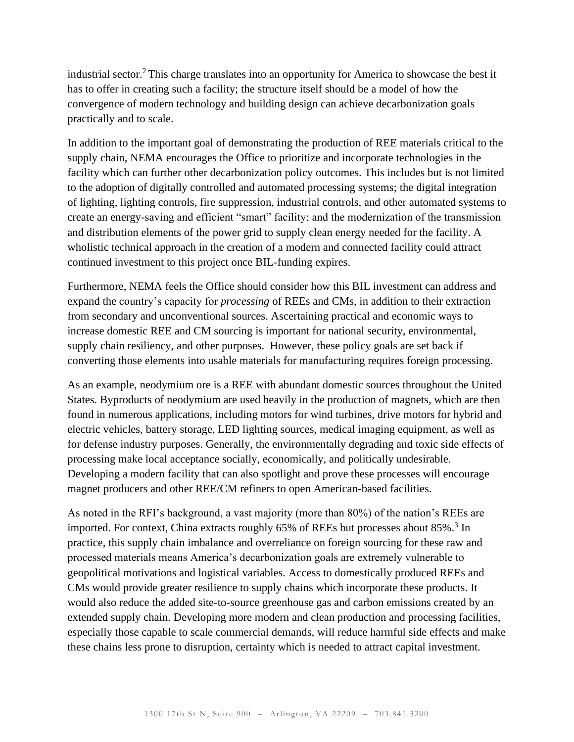industrial sector. <sup>2</sup>This charge translates into an opportunity for America to showcase the best it has to offer in creating such a facility; the structure itself should be a model of how the convergence of modern technology and building design can achieve decarbonization goals practically and to scale.

In addition to the important goal of demonstrating the production of REE materials critical to the supply chain, NEMA encourages the Office to prioritize and incorporate technologies in the facility which can further other decarbonization policy outcomes. This includes but is not limited to the adoption of digitally controlled and automated processing systems; the digital integration of lighting, lighting controls, fire suppression, industrial controls, and other automated systems to create an energy-saving and efficient "smart" facility; and the modernization of the transmission and distribution elements of the power grid to supply clean energy needed for the facility. A wholistic technical approach in the creation of a modern and connected facility could attract continued investment to this project once BIL-funding expires.

Furthermore, NEMA feels the Office should consider how this BIL investment can address and expand the country's capacity for *processing* of REEs and CMs, in addition to their extraction from secondary and unconventional sources. Ascertaining practical and economic ways to increase domestic REE and CM sourcing is important for national security, environmental, supply chain resiliency, and other purposes. However, these policy goals are set back if converting those elements into usable materials for manufacturing requires foreign processing.

As an example, neodymium ore is a REE with abundant domestic sources throughout the United States. Byproducts of neodymium are used heavily in the production of magnets, which are then found in numerous applications, including motors for wind turbines, drive motors for hybrid and electric vehicles, battery storage, LED lighting sources, medical imaging equipment, as well as for defense industry purposes. Generally, the environmentally degrading and toxic side effects of processing make local acceptance socially, economically, and politically undesirable. Developing a modern facility that can also spotlight and prove these processes will encourage magnet producers and other REE/CM refiners to open American-based facilities.

As noted in the RFI's background, a vast majority (more than 80%) of the nation's REEs are imported. For context, China extracts roughly  $65\%$  of REEs but processes about  $85\%$ .<sup>3</sup> In practice, this supply chain imbalance and overreliance on foreign sourcing for these raw and processed materials means America's decarbonization goals are extremely vulnerable to geopolitical motivations and logistical variables. Access to domestically produced REEs and CMs would provide greater resilience to supply chains which incorporate these products. It would also reduce the added site-to-source greenhouse gas and carbon emissions created by an extended supply chain. Developing more modern and clean production and processing facilities, especially those capable to scale commercial demands, will reduce harmful side effects and make these chains less prone to disruption, certainty which is needed to attract capital investment.